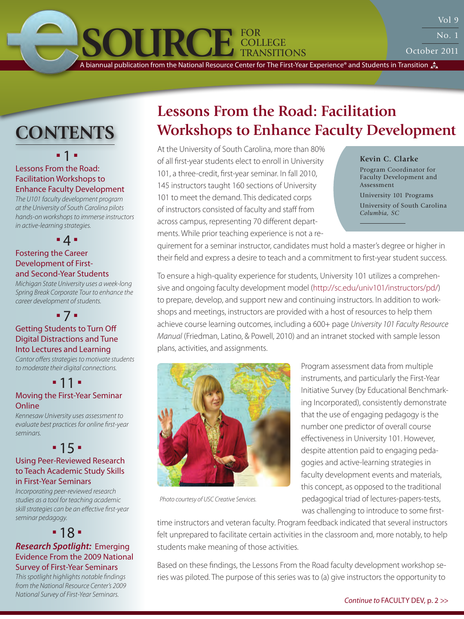October 2011

<span id="page-0-0"></span>**SOURCE** FOR A biannual publication from the National Resource Center for The First-Year Experience® and Students in Transition

College Transitions

 $11 - 11$ 

## Lessons From the Road: Facilitation Workshops to Enhance Faculty Development

*The U101 faculty development program at the University of South Carolina pilots hands-on workshops to immerse instructors in active-learning strategies.*

 $-4-$ 

## Fostering the Career Development of First[and Second-Year Students](#page-3-0)

*Michigan State University uses a week-long Spring Break Corporate Tour to enhance the career development of students.*

## 7 [Getting Students to Turn Off](#page-6-0)  Digital Distractions and Tune Into Lectures and Learning

*Cantor offers strategies to motivate students to moderate their digital connections.* 

#### П  $11 -$ [Moving the First-Year Seminar](#page-10-0)

## **Online**

*Kennesaw University uses assessment to evaluate best practices for online first-year seminars.*

## $-15 -$ [Using Peer-Reviewed Research](#page-14-0) to Teach Academic Study Skills in First-Year Seminars

*Incorporating peer-reviewed research studies as a tool for teaching academic skill strategies can be an effective first-year seminar pedagogy.* 

## $-18 -$

## *Research Spotlight:* Emerging [Evidence From the 2009 National](#page-17-0) Survey of First-Year Seminars

*This spotlight highlights notable findings from the National Resource Center's 2009 National Survey of First-Year Seminars. Continue to* [FACULTY DEV, p. 2 >>](#page-1-0)

## **Lessons From the Road: Facilitation CONTENTS Workshops to Enhance Faculty Development**

At the University of South Carolina, more than 80% of all first-year students elect to enroll in University 101, a three-credit, first-year seminar. In fall 2010, 145 instructors taught 160 sections of University 101 to meet the demand. This dedicated corps of instructors consisted of faculty and staff from across campus, representing 70 different departments. While prior teaching experience is not a re-

## **Kevin C. Clarke**

Program Coordinator for Faculty Development and Assessment

University 101 Programs University of South Carolina *Columbia, SC*

quirement for a seminar instructor, candidates must hold a master's degree or higher in their field and express a desire to teach and a commitment to first-year student success.

To ensure a high-quality experience for students, University 101 utilizes a comprehensive and ongoing faculty development model (http://sc.edu/univ101/instructors/pd/) to prepare, develop, and support new and continuing instructors. In addition to workshops and meetings, instructors are provided with a host of resources to help them achieve course learning outcomes, including a 600+ page *University 101 Faculty Resource Manual* (Friedman, Latino, & Powell, 2010) and an intranet stocked with sample lesson plans, activities, and assignments.



Program assessment data from multiple instruments, and particularly the First-Year Initiative Survey (by Educational Benchmarking Incorporated), consistently demonstrate that the use of engaging pedagogy is the number one predictor of overall course effectiveness in University 101. However, despite attention paid to engaging pedagogies and active-learning strategies in faculty development events and materials, this concept, as opposed to the traditional pedagogical triad of lectures-papers-tests, was challenging to introduce to some first-

*Photo courtesy of USC Creative Services.*

time instructors and veteran faculty. Program feedback indicated that several instructors felt unprepared to facilitate certain activities in the classroom and, more notably, to help students make meaning of those activities.

Based on these findings, the Lessons From the Road faculty development workshop series was piloted. The purpose of this series was to (a) give instructors the opportunity to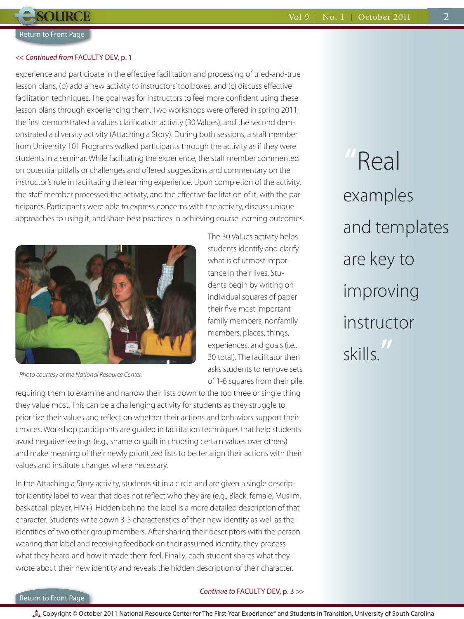<span id="page-1-0"></span>**SOURCE** 

## << *Continued from* [FACULTY DEV, p. 1](#page-0-0)

experience and participate in the effective facilitation and processing of tried-and-true lesson plans, (b) add a new activity to instructors' toolboxes, and (c) discuss effective facilitation techniques. The goal was for instructors to feel more confident using these lesson plans through experiencing them. Two workshops were offered in spring 2011; the first demonstrated a values clarification activity (30 Values), and the second demonstrated a diversity activity (Attaching a Story). During both sessions, a staff member from University 101 Programs walked participants through the activity as if they were students in a seminar. While facilitating the experience, the staff member commented on potential pitfalls or challenges and offered suggestions and commentary on the instructor's role in facilitating the learning experience. Upon completion of the activity, the staff member processed the activity, and the effective facilitation of it, with the participants. Participants were able to express concerns with the activity, discuss unique approaches to using it, and share best practices in achieving course learning outcomes.



*Photo courtesy of the National Resource Center.*

of 1-6 squares from their pile, requiring them to examine and narrow their lists down to the top three or single thing they value most. This can be a challenging activity for students as they struggle to prioritize their values and reflect on whether their actions and behaviors support their choices. Workshop participants are guided in facilitation techniques that help students avoid negative feelings (e.g., shame or guilt in choosing certain values over others) and make meaning of their newly prioritized lists to better align their actions with their values and institute changes where necessary.

In the Attaching a Story activity, students sit in a circle and are given a single descriptor identity label to wear that does not reflect who they are (e.g., Black, female, Muslim, basketball player, HIV+). Hidden behind the label is a more detailed description of that character. Students write down 3-5 characteristics of their new identity as well as the identities of two other group members. After sharing their descriptors with the person wearing that label and receiving feedback on their assumed identity, they process what they heard and how it made them feel. Finally, each student shares what they wrote about their new identity and reveals the hidden description of their character.

**"**Real examples and templates are key to improving instructor skills.**"**

## [Return to Front Page](#page-0-0)

## *Continue to* [FACULTY DEV, p. 3 >>](#page-2-0)

The 30 Values activity helps students identify and clarify what is of utmost importance in their lives. Students begin by writing on individual squares of paper their five most important family members, nonfamily members, places, things, experiences, and goals (i.e., 30 total). The facilitator then asks students to remove sets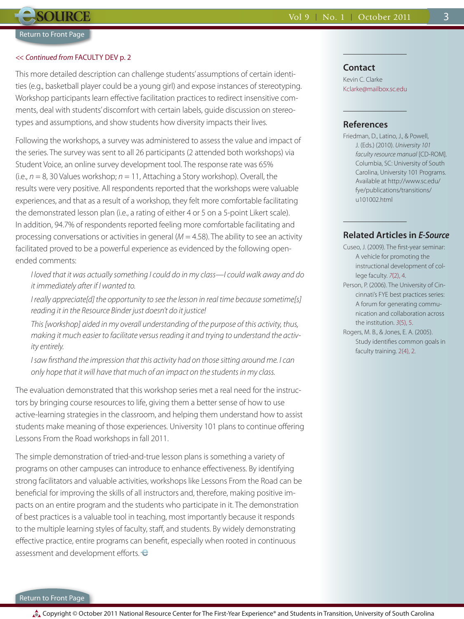<span id="page-2-0"></span>**SOURCE**

#### << *Continued from* [FACULTY DEV p. 2](#page-1-0)

This more detailed description can challenge students' assumptions of certain identities (e.g., basketball player could be a young girl) and expose instances of stereotyping. Workshop participants learn effective facilitation practices to redirect insensitive comments, deal with students' discomfort with certain labels, guide discussion on stereotypes and assumptions, and show students how diversity impacts their lives.

Following the workshops, a survey was administered to assess the value and impact of the series. The survey was sent to all 26 participants (2 attended both workshops) via Student Voice, an online survey development tool. The response rate was 65% (i.e., *n* = 8, 30 Values workshop; *n* = 11, Attaching a Story workshop). Overall, the results were very positive. All respondents reported that the workshops were valuable experiences, and that as a result of a workshop, they felt more comfortable facilitating the demonstrated lesson plan (i.e., a rating of either 4 or 5 on a 5-point Likert scale). In addition, 94.7% of respondents reported feeling more comfortable facilitating and processing conversations or activities in general ( $M = 4.58$ ). The ability to see an activity facilitated proved to be a powerful experience as evidenced by the following openended comments:

*I loved that it was actually something I could do in my class—I could walk away and do it immediately after if I wanted to.* 

*I really appreciate[d] the opportunity to see the lesson in real time because sometime[s] reading it in the Resource Binder just doesn't do it justice!*

*This [workshop] aided in my overall understanding of the purpose of this activity, thus, making it much easier to facilitate versus reading it and trying to understand the activity entirely.*

*I saw firsthand the impression that this activity had on those sitting around me. I can only hope that it will have that much of an impact on the students in my class.*

The evaluation demonstrated that this workshop series met a real need for the instructors by bringing course resources to life, giving them a better sense of how to use active-learning strategies in the classroom, and helping them understand how to assist students make meaning of those experiences. University 101 plans to continue offering Lessons From the Road workshops in fall 2011.

The simple demonstration of tried-and-true lesson plans is something a variety of programs on other campuses can introduce to enhance effectiveness. By identifying strong facilitators and valuable activities, workshops like Lessons From the Road can be beneficial for improving the skills of all instructors and, therefore, making positive impacts on an entire program and the students who participate in it. The demonstration of best practices is a valuable tool in teaching, most importantly because it responds to the multiple learning styles of faculty, staff, and students. By widely demonstrating effective practice, entire programs can benefit, especially when rooted in continuous assessment and development efforts.

## **Contact**

Kevin C. Clarke Kclarke@mailbox.sc.edu

## **References**

Friedman, D., Latino, J., & Powell, J. (Eds.) (2010). *University 101 faculty resource manual* [CD-ROM]. Columbia, SC: University of South Carolina, University 101 Programs. Available at http://www.sc.edu/ fye/publications/transitions/ u101002.html

3

## **Related Articles in** *E-Source*

- Cuseo, J. (2009). The first-year seminar: A vehicle for promoting the instructional development of college faculty. *7*[\(2\), 4.](http://u101tech.sa.sc.edu/NRC/esource/web/pdf/ES_7-2_Nov09.pdf)
- Person, P. (2006). The University of Cincinnati's FYE best practices series: A forum for generating communication and collaboration across the institution. *3*[\(5\), 5.](http://u101tech.sa.sc.edu/NRC/esource/web/pdf/ES_3-5_Apr06.pdf)
- Rogers, M. B., & Jones, E. A. (2005). Study identifies common goals in faculty training. [2\(4\), 2.](http://u101tech.sa.sc.edu/NRC/esource/web/pdf/ES_2-4_Feb05.pdf)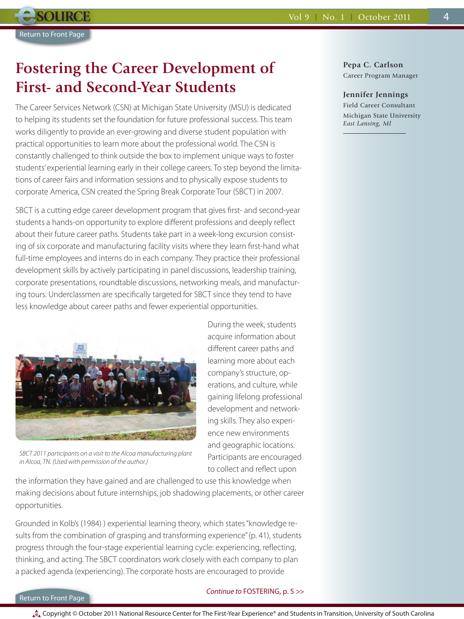## <span id="page-3-0"></span>**Fostering the Career Development of First- and Second-Year Students**

The Career Services Network (CSN) at Michigan State University (MSU) is dedicated to helping its students set the foundation for future professional success. This team works diligently to provide an ever-growing and diverse student population with practical opportunities to learn more about the professional world. The CSN is constantly challenged to think outside the box to implement unique ways to foster students' experiential learning early in their college careers. To step beyond the limitations of career fairs and information sessions and to physically expose students to corporate America, CSN created the Spring Break Corporate Tour (SBCT) in 2007.

SBCT is a cutting edge career development program that gives first- and second-year students a hands-on opportunity to explore different professions and deeply reflect about their future career paths. Students take part in a week-long excursion consisting of six corporate and manufacturing facility visits where they learn first-hand what full-time employees and interns do in each company. They practice their professional development skills by actively participating in panel discussions, leadership training, corporate presentations, roundtable discussions, networking meals, and manufacturing tours. Underclassmen are specifically targeted for SBCT since they tend to have less knowledge about career paths and fewer experiential opportunities.



*SBCT 2011 participants on a visit to the Alcoa manufacturing plant in Alcoa, TN. (Used with permission of the author.)*

the information they have gained and are challenged to use this knowledge when making decisions about future internships, job shadowing placements, or other career opportunities.

Grounded in Kolb's (1984) ) experiential learning theory, which states "knowledge results from the combination of grasping and transforming experience" (p. 41), students progress through the four-stage experiential learning cycle: experiencing, reflecting, thinking, and acting. The SBCT coordinators work closely with each company to plan a packed agenda (experiencing). The corporate hosts are encouraged to provide

### [Return to Front Page](#page-0-0)

## *Continue to* [FOSTERING, p. 5 >>](#page-4-0)

**Pepa C. Carlson** Career Program Manager

#### **Jennifer Jennings**

Field Career Consultant Michigan State University *East Lansing, MI*

During the week, students acquire information about different career paths and learning more about each company's structure, operations, and culture, while gaining lifelong professional development and networking skills. They also experience new environments and geographic locations. Participants are encouraged to collect and reflect upon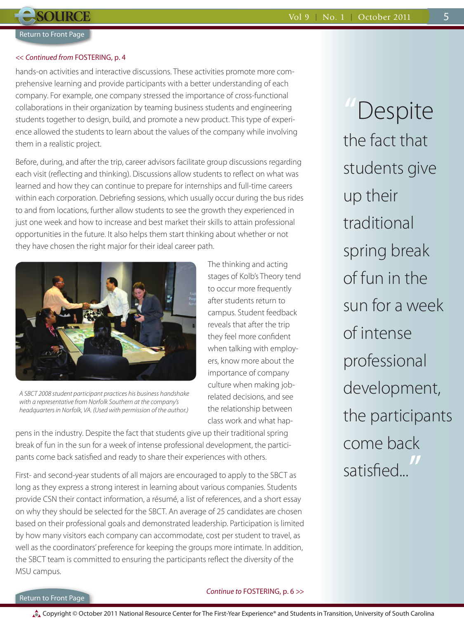<span id="page-4-0"></span>**SOURCE** 

### << *Continued from* [FOSTERING, p. 4](#page-3-0)

hands-on activities and interactive discussions. These activities promote more comprehensive learning and provide participants with a better understanding of each company. For example, one company stressed the importance of cross-functional collaborations in their organization by teaming business students and engineering students together to design, build, and promote a new product. This type of experience allowed the students to learn about the values of the company while involving them in a realistic project.

Before, during, and after the trip, career advisors facilitate group discussions regarding each visit (reflecting and thinking). Discussions allow students to reflect on what was learned and how they can continue to prepare for internships and full-time careers within each corporation. Debriefing sessions, which usually occur during the bus rides to and from locations, further allow students to see the growth they experienced in just one week and how to increase and best market their skills to attain professional opportunities in the future. It also helps them start thinking about whether or not they have chosen the right major for their ideal career path.



*A SBCT 2008 student participant practices his business handshake with a representative from Norfolk Southern at the company's headquarters in Norfolk, VA. (Used with permission of the author.)*

The thinking and acting stages of Kolb's Theory tend to occur more frequently after students return to campus. Student feedback reveals that after the trip they feel more confident when talking with employers, know more about the importance of company culture when making jobrelated decisions, and see the relationship between class work and what hap-

pens in the industry. Despite the fact that students give up their traditional spring break of fun in the sun for a week of intense professional development, the participants come back satisfied and ready to share their experiences with others.

First- and second-year students of all majors are encouraged to apply to the SBCT as long as they express a strong interest in learning about various companies. Students provide CSN their contact information, a résumé, a list of references, and a short essay on why they should be selected for the SBCT. An average of 25 candidates are chosen based on their professional goals and demonstrated leadership. Participation is limited by how many visitors each company can accommodate, cost per student to travel, as well as the coordinators' preference for keeping the groups more intimate. In addition, the SBCT team is committed to ensuring the participants reflect the diversity of the MSU campus.

**"**Despite the fact that students give up their traditional spring break of fun in the sun for a week of intense professional development, the participants come back satisfied...**"**

## [Return to Front Page](#page-0-0)

## *Continue to* [FOSTERING, p. 6 >>](#page-5-0)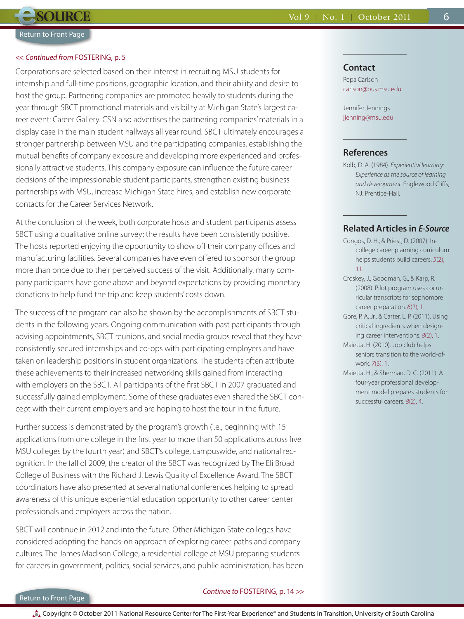<span id="page-5-0"></span>**SOURCE** 

#### << *Continued from* [FOSTERING, p. 5](#page-4-0)

Corporations are selected based on their interest in recruiting MSU students for internship and full-time positions, geographic location, and their ability and desire to host the group. Partnering companies are promoted heavily to students during the year through SBCT promotional materials and visibility at Michigan State's largest career event: Career Gallery. CSN also advertises the partnering companies' materials in a display case in the main student hallways all year round. SBCT ultimately encourages a stronger partnership between MSU and the participating companies, establishing the mutual benefits of company exposure and developing more experienced and professionally attractive students. This company exposure can influence the future career decisions of the impressionable student participants, strengthen existing business partnerships with MSU, increase Michigan State hires, and establish new corporate contacts for the Career Services Network.

At the conclusion of the week, both corporate hosts and student participants assess SBCT using a qualitative online survey; the results have been consistently positive. The hosts reported enjoying the opportunity to show off their company offices and manufacturing facilities. Several companies have even offered to sponsor the group more than once due to their perceived success of the visit. Additionally, many company participants have gone above and beyond expectations by providing monetary donations to help fund the trip and keep students' costs down.

The success of the program can also be shown by the accomplishments of SBCT students in the following years. Ongoing communication with past participants through advising appointments, SBCT reunions, and social media groups reveal that they have consistently secured internships and co-ops with participating employers and have taken on leadership positions in student organizations. The students often attribute these achievements to their increased networking skills gained from interacting with employers on the SBCT. All participants of the first SBCT in 2007 graduated and successfully gained employment. Some of these graduates even shared the SBCT concept with their current employers and are hoping to host the tour in the future.

Further success is demonstrated by the program's growth (i.e., beginning with 15 applications from one college in the first year to more than 50 applications across five MSU colleges by the fourth year) and SBCT's college, campuswide, and national recognition. In the fall of 2009, the creator of the SBCT was recognized by The Eli Broad College of Business with the Richard J. Lewis Quality of Excellence Award. The SBCT coordinators have also presented at several national conferences helping to spread awareness of this unique experiential education opportunity to other career center professionals and employers across the nation.

SBCT will continue in 2012 and into the future. Other Michigan State colleges have considered adopting the hands-on approach of exploring career paths and company cultures. The James Madison College, a residential college at MSU preparing students for careers in government, politics, social services, and public administration, has been

## **Contact**

Pepa Carlson carlson@bus.msu.edu

Jennifer Jennings jjenning@msu.edu

## **References**

Kolb, D. A. (1984). *Experiential learning: Experience as the source of learning and development.* Englewood Cliffs, NJ: Prentice-Hall.

6

## **Related Articles in** *E-Source*

Congos, D. H., & Priest, D. (2007). Incollege career planning curriculum [helps students build careers.](http://u101tech.sa.sc.edu/NRC/esource/web/pdf/ES_5-2_Nov07.pdf) *5*(2), 11.

Croskey, J., Goodman, G., & Karp, R. (2008). Pilot program uses cocurricular transcripts for sophomore career preparation. *6*[\(2\), 1.](http://u101tech.sa.sc.edu/NRC/esource/web/pdf/ES_6-2_Nov08.pdf)

Gore, P. A. Jr., & Carter, L. P. (2011). Using critical ingredients when designing career interventions. *8*[\(2\), 1.](http://u101tech.sa.sc.edu/NRC/esource/web/pdf/ES_08_02_Mar11.pdf)

Maietta, H. (2010). Job club helps seniors transition to the world-ofwork. *7*[\(3\), 1.](http://u101tech.sa.sc.edu/NRC/esource/web/pdf/ES_7-3_Jan10.pdf)

Maietta, H., & Sherman, D. C. (2011). A four-year professional development model prepares students for successful careers. *8*[\(2\), 4.](http://u101tech.sa.sc.edu/NRC/esource/web/pdf/ES_08_02_Mar11.pdf)

## [Return to Front Page](#page-0-0)

### *Continue to* [FOSTERING, p. 14 >>](#page-13-0)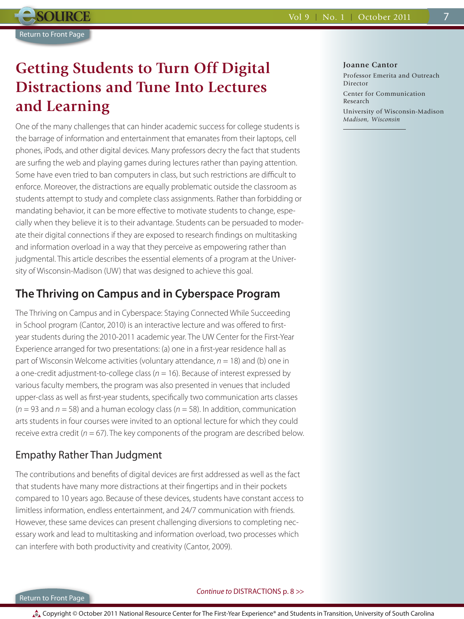## <span id="page-6-0"></span>**Getting Students to Turn Off Digital Distractions and Tune Into Lectures and Learning**

One of the many challenges that can hinder academic success for college students is the barrage of information and entertainment that emanates from their laptops, cell phones, iPods, and other digital devices. Many professors decry the fact that students are surfing the web and playing games during lectures rather than paying attention. Some have even tried to ban computers in class, but such restrictions are difficult to enforce. Moreover, the distractions are equally problematic outside the classroom as students attempt to study and complete class assignments. Rather than forbidding or mandating behavior, it can be more effective to motivate students to change, especially when they believe it is to their advantage. Students can be persuaded to moderate their digital connections if they are exposed to research findings on multitasking and information overload in a way that they perceive as empowering rather than judgmental. This article describes the essential elements of a program at the University of Wisconsin-Madison (UW) that was designed to achieve this goal.

## **The Thriving on Campus and in Cyberspace Program**

The Thriving on Campus and in Cyberspace: Staying Connected While Succeeding in School program (Cantor, 2010) is an interactive lecture and was offered to firstyear students during the 2010-2011 academic year. The UW Center for the First-Year Experience arranged for two presentations: (a) one in a first-year residence hall as part of Wisconsin Welcome activities (voluntary attendance, *n* = 18) and (b) one in a one-credit adjustment-to-college class ( $n = 16$ ). Because of interest expressed by various faculty members, the program was also presented in venues that included upper-class as well as first-year students, specifically two communication arts classes  $(n = 93$  and  $n = 58$ ) and a human ecology class  $(n = 58)$ . In addition, communication arts students in four courses were invited to an optional lecture for which they could receive extra credit ( $n = 67$ ). The key components of the program are described below.

## Empathy Rather Than Judgment

The contributions and benefits of digital devices are first addressed as well as the fact that students have many more distractions at their fingertips and in their pockets compared to 10 years ago. Because of these devices, students have constant access to limitless information, endless entertainment, and 24/7 communication with friends. However, these same devices can present challenging diversions to completing necessary work and lead to multitasking and information overload, two processes which can interfere with both productivity and creativity (Cantor, 2009).

### **Joanne Cantor**

Professor Emerita and Outreach Director Center for Communication Research

University of Wisconsin-Madison *Madison, Wisconsin*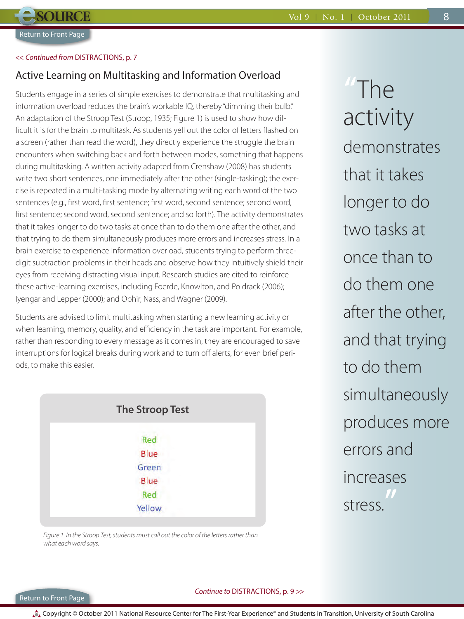8

## <span id="page-7-0"></span><< *Continued from* [DISTRACTIONS, p. 7](#page-6-0)

## Active Learning on Multitasking and Information Overload

Students engage in a series of simple exercises to demonstrate that multitasking and information overload reduces the brain's workable IQ, thereby "dimming their bulb." An adaptation of the Stroop Test (Stroop, 1935; Figure 1) is used to show how difficult it is for the brain to multitask. As students yell out the color of letters flashed on a screen (rather than read the word), they directly experience the struggle the brain encounters when switching back and forth between modes, something that happens during multitasking. A written activity adapted from Crenshaw (2008) has students write two short sentences, one immediately after the other (single-tasking); the exercise is repeated in a multi-tasking mode by alternating writing each word of the two sentences (e.g., first word, first sentence; first word, second sentence; second word, first sentence; second word, second sentence; and so forth). The activity demonstrates that it takes longer to do two tasks at once than to do them one after the other, and that trying to do them simultaneously produces more errors and increases stress. In a brain exercise to experience information overload, students trying to perform threedigit subtraction problems in their heads and observe how they intuitively shield their eyes from receiving distracting visual input. Research studies are cited to reinforce these active-learning exercises, including Foerde, Knowlton, and Poldrack (2006); Iyengar and Lepper (2000); and Ophir, Nass, and Wagner (2009).

Students are advised to limit multitasking when starting a new learning activity or when learning, memory, quality, and efficiency in the task are important. For example, rather than responding to every message as it comes in, they are encouraged to save interruptions for logical breaks during work and to turn off alerts, for even brief periods, to make this easier.



*Figure 1. In the Stroop Test, students must call out the color of the letters rather than what each word says.*

**"**The activity demonstrates that it takes longer to do two tasks at once than to do them one after the other, and that trying to do them simultaneously produces more errors and increases stress. **"**

## [Return to Front Page](#page-0-0)

## *Continue to* [DISTRACTIONS, p. 9 >>](#page-8-0)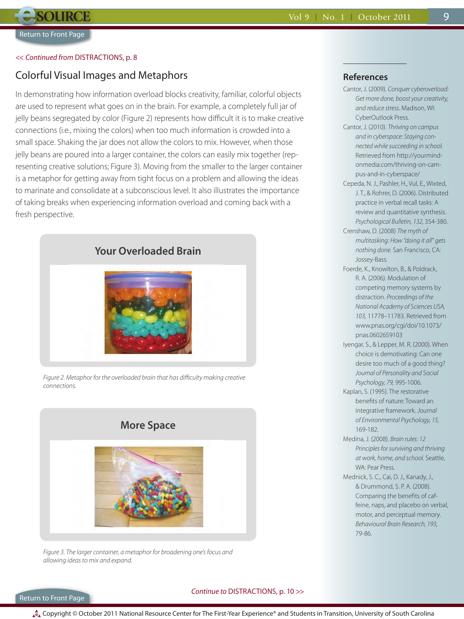## <span id="page-8-0"></span><< *Continued from* [DISTRACTIONS, p. 8](#page-7-0)

## Colorful Visual Images and Metaphors

In demonstrating how information overload blocks creativity, familiar, colorful objects are used to represent what goes on in the brain. For example, a completely full jar of jelly beans segregated by color (Figure 2) represents how difficult it is to make creative connections (i.e., mixing the colors) when too much information is crowded into a small space. Shaking the jar does not allow the colors to mix. However, when those jelly beans are poured into a larger container, the colors can easily mix together (representing creative solutions; Figure 3). Moving from the smaller to the larger container is a metaphor for getting away from tight focus on a problem and allowing the ideas to marinate and consolidate at a subconscious level. It also illustrates the importance of taking breaks when experiencing information overload and coming back with a fresh perspective.



*Figure 2. Metaphor for the overloaded brain that has difficulty making creative connections.*



*Figure 3. The larger container, a metaphor for broadening one's focus and allowing ideas to mix and expand.*

## **References**

Cantor, J. (2009). *Conquer cyberoverload: Get more done, boost your creativity, and reduce stress.* Madison, WI: CyberOutlook Press.

9

- Cantor, J. (2010). *Thriving on campus and in cyberspace: Staying connected while succeeding in school.* Retrieved from http://yourmindonmedia.com/thriving-on-campus-and-in-cyberspace/
- Cepeda, N. J., Pashler, H., Vul, E., Wixted, J. T., & Rohrer, D. (2006). Distributed practice in verbal recall tasks: A review and quantitative synthesis. *Psychological Bulletin, 132,* 354-380.
- Crenshaw, D. (2008) *The myth of multitasking: How "doing it all" gets nothing done.* San Francisco, CA: Jossey-Bass.
- Foerde, K., Knowlton, B., & Poldrack, R. A. (2006). Modulation of competing memory systems by distraction. *Proceedings of the National Academy of Sciences USA, 103,* 11778–11783. Retrieved from www.pnas.org/cgi/doi/10.1073/ pnas.0602659103
- Iyengar, S., & Lepper, M. R. (2000). When choice is demotivating: Can one desire too much of a good thing? *Journal of Personality and Social Psychology, 79,* 995-1006.
- Kaplan, S. (1995). The restorative benefits of nature: Toward an integrative framework. *Journal of Environmental Psychology, 15,*  169-182.
- Medina, J. (2008). *Brain rules: 12 Principles for surviving and thriving at work, home, and school.* Seattle, WA: Pear Press.
- Mednick, S. C., Cai, D. J., Kanady, J., & Drummond, S. P. A. (2008). Comparing the benefits of caffeine, naps, and placebo on verbal, motor, and perceptual memory. *Behavioural Brain Research, 193,* 79-86.

### Return to Front Page

## *Continue to* [DISTRACTIONS, p. 10 >>](#page-9-0)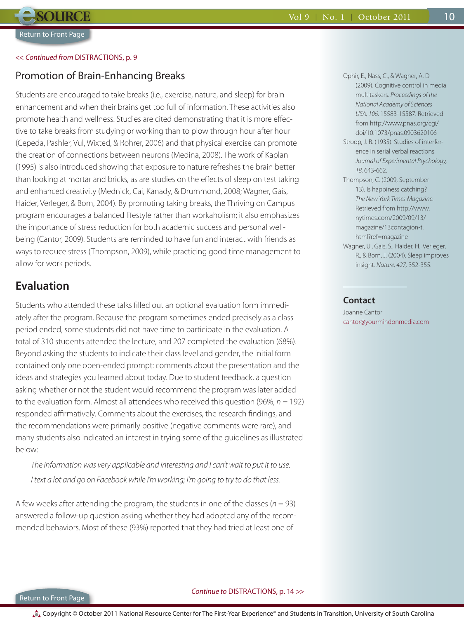## <span id="page-9-0"></span><< *Continued from* [DISTRACTIONS, p. 9](#page-8-0)

## Promotion of Brain-Enhancing Breaks

Students are encouraged to take breaks (i.e., exercise, nature, and sleep) for brain enhancement and when their brains get too full of information. These activities also promote health and wellness. Studies are cited demonstrating that it is more effective to take breaks from studying or working than to plow through hour after hour (Cepeda, Pashler, Vul, Wixted, & Rohrer, 2006) and that physical exercise can promote the creation of connections between neurons (Medina, 2008). The work of Kaplan (1995) is also introduced showing that exposure to nature refreshes the brain better than looking at mortar and bricks, as are studies on the effects of sleep on test taking and enhanced creativity (Mednick, Cai, Kanady, & Drummond, 2008; Wagner, Gais, Haider, Verleger, & Born, 2004). By promoting taking breaks, the Thriving on Campus program encourages a balanced lifestyle rather than workaholism; it also emphasizes the importance of stress reduction for both academic success and personal wellbeing (Cantor, 2009). Students are reminded to have fun and interact with friends as ways to reduce stress (Thompson, 2009), while practicing good time management to allow for work periods.

## **Evaluation**

Students who attended these talks filled out an optional evaluation form immediately after the program. Because the program sometimes ended precisely as a class period ended, some students did not have time to participate in the evaluation. A total of 310 students attended the lecture, and 207 completed the evaluation (68%). Beyond asking the students to indicate their class level and gender, the initial form contained only one open-ended prompt: comments about the presentation and the ideas and strategies you learned about today. Due to student feedback, a question asking whether or not the student would recommend the program was later added to the evaluation form. Almost all attendees who received this question (96%, *n* = 192) responded affirmatively. Comments about the exercises, the research findings, and the recommendations were primarily positive (negative comments were rare), and many students also indicated an interest in trying some of the guidelines as illustrated below:

*The information was very applicable and interesting and I can't wait to put it to use. I text a lot and go on Facebook while I'm working; I'm going to try to do that less.*

A few weeks after attending the program, the students in one of the classes ( $n = 93$ ) answered a follow-up question asking whether they had adopted any of the recommended behaviors. Most of these (93%) reported that they had tried at least one of

Ophir, E., Nass, C., & Wagner, A. D. (2009). Cognitive control in media multitaskers. *Proceedings of the National Academy of Sciences USA, 106,* 15583-15587. Retrieved from http://www.pnas.org/cgi/ doi/10.1073/pnas.0903620106

- Stroop, J. R. (1935). Studies of interference in serial verbal reactions. *Journal of Experimental Psychology, 18,* 643-662.
- Thompson, C. (2009, September 13). Is happiness catching? *The New York Times Magazine.* Retrieved from http://www. nytimes.com/2009/09/13/ magazine/13contagion-t. html?ref=magazine Wagner, U., Gais, S., Haider, H., Verleger, R., & Born, J. (2004). Sleep improves
	- insight. *Nature, 427,* 352-355.

## **Contact**

Joanne Cantor cantor@yourmindonmedia.com 10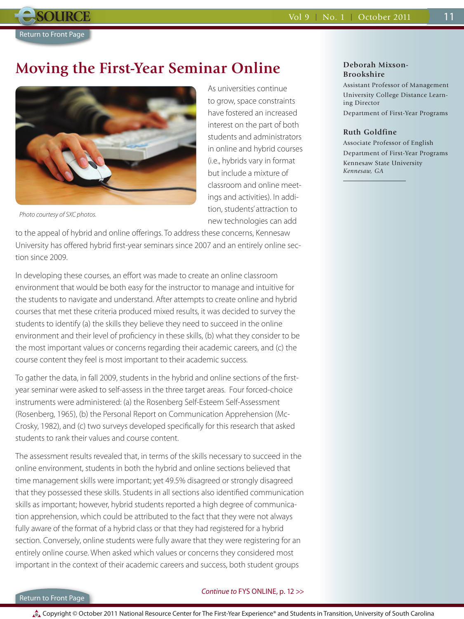## <span id="page-10-0"></span>**Moving the First-Year Seminar Online**



As universities continue to grow, space constraints have fostered an increased interest on the part of both students and administrators in online and hybrid courses (i.e., hybrids vary in format but include a mixture of classroom and online meetings and activities). In addition, students' attraction to new technologies can add

*Photo courtesy of SXC photos.*

to the appeal of hybrid and online offerings. To address these concerns, Kennesaw University has offered hybrid first-year seminars since 2007 and an entirely online section since 2009.

In developing these courses, an effort was made to create an online classroom environment that would be both easy for the instructor to manage and intuitive for the students to navigate and understand. After attempts to create online and hybrid courses that met these criteria produced mixed results, it was decided to survey the students to identify (a) the skills they believe they need to succeed in the online environment and their level of proficiency in these skills, (b) what they consider to be the most important values or concerns regarding their academic careers, and (c) the course content they feel is most important to their academic success.

To gather the data, in fall 2009, students in the hybrid and online sections of the firstyear seminar were asked to self-assess in the three target areas. Four forced-choice instruments were administered: (a) the Rosenberg Self-Esteem Self-Assessment (Rosenberg, 1965), (b) the Personal Report on Communication Apprehension (Mc-Crosky, 1982), and (c) two surveys developed specifically for this research that asked students to rank their values and course content.

The assessment results revealed that, in terms of the skills necessary to succeed in the online environment, students in both the hybrid and online sections believed that time management skills were important; yet 49.5% disagreed or strongly disagreed that they possessed these skills. Students in all sections also identified communication skills as important; however, hybrid students reported a high degree of communication apprehension, which could be attributed to the fact that they were not always fully aware of the format of a hybrid class or that they had registered for a hybrid section. Conversely, online students were fully aware that they were registering for an entirely online course. When asked which values or concerns they considered most important in the context of their academic careers and success, both student groups

### **Deborah Mixson-Brookshire**

Assistant Professor of Management University College Distance Learning Director Department of First-Year Programs

#### **Ruth Goldfine**

Associate Professor of English Department of First-Year Programs Kennesaw State University *Kennesaw, GA*

## [Return to Front Page](#page-0-0)

## *Continue to* [FYS ONLINE, p. 12 >>](#page-11-0)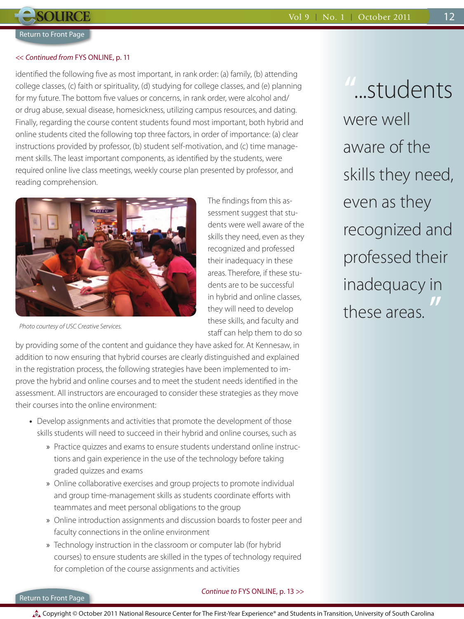12

## **[Return to Front Page](#page-0-0)**

<span id="page-11-0"></span>**SOURCE** 

#### << *Continued from* [FYS ONLINE, p. 11](#page-10-0)

identified the following five as most important, in rank order: (a) family, (b) attending college classes, (c) faith or spirituality, (d) studying for college classes, and (e) planning for my future. The bottom five values or concerns, in rank order, were alcohol and/ or drug abuse, sexual disease, homesickness, utilizing campus resources, and dating. Finally, regarding the course content students found most important, both hybrid and online students cited the following top three factors, in order of importance: (a) clear instructions provided by professor, (b) student self-motivation, and (c) time management skills. The least important components, as identified by the students, were required online live class meetings, weekly course plan presented by professor, and reading comprehension.



*Photo courtesy of USC Creative Services.*

The findings from this assessment suggest that students were well aware of the skills they need, even as they recognized and professed their inadequacy in these areas. Therefore, if these students are to be successful in hybrid and online classes, they will need to develop these skills, and faculty and staff can help them to do so

by providing some of the content and guidance they have asked for. At Kennesaw, in addition to now ensuring that hybrid courses are clearly distinguished and explained in the registration process, the following strategies have been implemented to improve the hybrid and online courses and to meet the student needs identified in the assessment. All instructors are encouraged to consider these strategies as they move their courses into the online environment:

- Develop assignments and activities that promote the development of those skills students will need to succeed in their hybrid and online courses, such as
	- » Practice quizzes and exams to ensure students understand online instructions and gain experience in the use of the technology before taking graded quizzes and exams
	- » Online collaborative exercises and group projects to promote individual and group time-management skills as students coordinate efforts with teammates and meet personal obligations to the group
	- » Online introduction assignments and discussion boards to foster peer and faculty connections in the online environment
	- » Technology instruction in the classroom or computer lab (for hybrid courses) to ensure students are skilled in the types of technology required for completion of the course assignments and activities

**"**...students were well aware of the skills they need, even as they recognized and professed their inadequacy in these areas. **"**

## [Return to Front Page](#page-0-0)

## *Continue to* [FYS ONLINE, p. 13 >>](#page-12-0)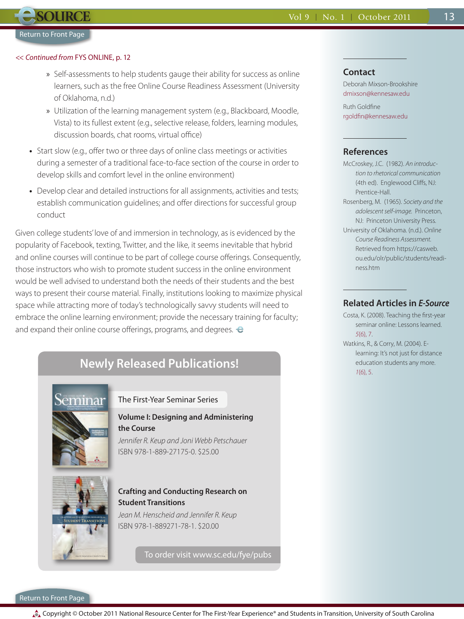## <span id="page-12-0"></span><< *Continued from* [FYS ONLINE, p. 12](#page-11-0)

- » Self-assessments to help students gauge their ability for success as online learners, such as the free Online Course Readiness Assessment (University of Oklahoma, n.d.)
- » Utilization of the learning management system (e.g., Blackboard, Moodle, Vista) to its fullest extent (e.g., selective release, folders, learning modules, discussion boards, chat rooms, virtual office)
- Start slow (e.g., offer two or three days of online class meetings or activities during a semester of a traditional face-to-face section of the course in order to develop skills and comfort level in the online environment)
- Develop clear and detailed instructions for all assignments, activities and tests; establish communication guidelines; and offer directions for successful group conduct

Given college students' love of and immersion in technology, as is evidenced by the popularity of Facebook, texting, Twitter, and the like, it seems inevitable that hybrid and online courses will continue to be part of college course offerings. Consequently, those instructors who wish to promote student success in the online environment would be well advised to understand both the needs of their students and the best ways to present their course material. Finally, institutions looking to maximize physical space while attracting more of today's technologically savvy students will need to embrace the online learning environment; provide the necessary training for faculty; and expand their online course offerings, programs, and degrees.  $\bullet$ 

## **Newly Released Publications!**



## The First-Year Seminar Series

## **Volume I: Designing and Administering the Course**

*Jennifer R. Keup and Joni Webb Petschauer* ISBN 978-1-889-27175-0. \$25.00



## **Crafting and Conducting Research on Student Transitions**

*Jean M. Henscheid and Jennifer R. Keup* ISBN 978-1-889271-78-1. \$20.00

To order visit www.sc.edu/fye/pubs

## **Contact**

Deborah Mixson-Brookshire dmixson@kennesaw.edu

13

Ruth Goldfine rgoldfin@kennesaw.edu

## **References**

McCroskey, J.C. (1982). *An introduction to rhetorical communication*  (4th ed). Englewood Cliffs, NJ: Prentice-Hall. Rosenberg, M. (1965). *Society and the* 

- *adolescent self-image.* Princeton, NJ: Princeton University Press.
- University of Oklahoma. (n.d.). *Online Course Readiness Assessment.*  Retrieved from https://casweb. ou.edu/olr/public/students/readiness.htm

## **Related Articles in** *E-Source*

Costa, K. (2008). Teaching the first-year seminar online: Lessons learned. *5*[\(6\), 7.](http://u101tech.sa.sc.edu/NRC/esource/web/pdf/ES_5-6_Jul08.pdf) Watkins, R., & Corry, M. (2004). E-

learning: It's not just for distance education students any more. *1*[\(6\), 5.](http://u101tech.sa.sc.edu/NRC/esource/web/pdf/ES_1-6_Jun04.pdf)

[Return to Front Page](#page-0-0)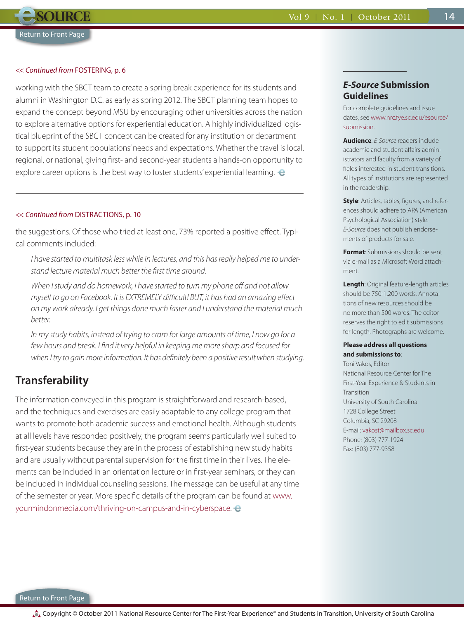## <span id="page-13-0"></span><< *Continued from* [FOSTERING, p.](#page-5-0) 6

working with the SBCT team to create a spring break experience for its students and alumni in Washington D.C. as early as spring 2012. The SBCT planning team hopes to expand the concept beyond MSU by encouraging other universities across the nation to explore alternative options for experiential education. A highly individualized logistical blueprint of the SBCT concept can be created for any institution or department to support its student populations' needs and expectations. Whether the travel is local, regional, or national, giving first- and second-year students a hands-on opportunity to explore career options is the best way to foster students' experiential learning.  $\theta$ 

#### << *Continued from* [DISTRACTIONS, p. 10](#page-9-0)

the suggestions. Of those who tried at least one, 73% reported a positive effect. Typical comments included:

*I have started to multitask less while in lectures, and this has really helped me to understand lecture material much better the first time around.*

*When I study and do homework, I have started to turn my phone off and not allow myself to go on Facebook. It is EXTREMELY difficult! BUT, it has had an amazing effect on my work already. I get things done much faster and I understand the material much better.*

*In my study habits, instead of trying to cram for large amounts of time, I now go for a few hours and break. I find it very helpful in keeping me more sharp and focused for when I try to gain more information. It has definitely been a positive result when studying.*

## **Transferability**

The information conveyed in this program is straightforward and research-based, and the techniques and exercises are easily adaptable to any college program that wants to promote both academic success and emotional health. Although students at all levels have responded positively, the program seems particularly well suited to first-year students because they are in the process of establishing new study habits and are usually without parental supervision for the first time in their lives. The elements can be included in an orientation lecture or in first-year seminars, or they can be included in individual counseling sessions. The message can be useful at any time of the semester or year. More specific details of the program can be found at www. yourmindonmedia.com/thriving-on-campus-and-in-cyberspace.

## *E-Source* **Submission Guidelines**

For complete guidelines and issue [dates, see www.nrc.fye.sc.edu/esource/](http://u101tech.sa.sc.edu/NRC/esource_new/submission.php) submission.

14

**Audience**: *E-Source* readers include academic and student affairs administrators and faculty from a variety of fields interested in student transitions. All types of institutions are represented in the readership.

**Style**: Articles, tables, figures, and references should adhere to APA (American Psychological Association) style. *E-Source* does not publish endorsements of products for sale.

**Format**: Submissions should be sent via e-mail as a Microsoft Word attachment.

**Length**: Original feature-length articles should be 750-1,200 words. Annotations of new resources should be no more than 500 words. The editor reserves the right to edit submissions for length. Photographs are welcome.

### **Please address all questions and submissions to**:

Toni Vakos, Editor National Resource Center for The First-Year Experience & Students in **Transition** University of South Carolina 1728 College Street Columbia, SC 29208 E-mail: vakost@mailbox.sc.edu Phone: (803) 777-1924 Fax: (803) 777-9358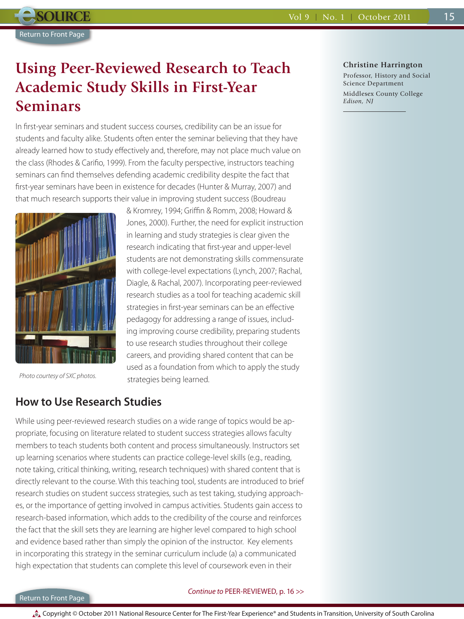## <span id="page-14-0"></span>**Using Peer-Reviewed Research to Teach Academic Study Skills in First-Year Seminars**

In first-year seminars and student success courses, credibility can be an issue for students and faculty alike. Students often enter the seminar believing that they have already learned how to study effectively and, therefore, may not place much value on the class (Rhodes & Carifio, 1999). From the faculty perspective, instructors teaching seminars can find themselves defending academic credibility despite the fact that first-year seminars have been in existence for decades (Hunter & Murray, 2007) and that much research supports their value in improving student success (Boudreau

> & Kromrey, 1994; Griffin & Romm, 2008; Howard & Jones, 2000). Further, the need for explicit instruction in learning and study strategies is clear given the research indicating that first-year and upper-level students are not demonstrating skills commensurate with college-level expectations (Lynch, 2007; Rachal, Diagle, & Rachal, 2007). Incorporating peer-reviewed research studies as a tool for teaching academic skill strategies in first-year seminars can be an effective pedagogy for addressing a range of issues, including improving course credibility, preparing students to use research studies throughout their college careers, and providing shared content that can be used as a foundation from which to apply the study



*Photo courtesy of SXC photos.*

## **How to Use Research Studies**

While using peer-reviewed research studies on a wide range of topics would be appropriate, focusing on literature related to student success strategies allows faculty members to teach students both content and process simultaneously. Instructors set up learning scenarios where students can practice college-level skills (e.g., reading, note taking, critical thinking, writing, research techniques) with shared content that is directly relevant to the course. With this teaching tool, students are introduced to brief research studies on student success strategies, such as test taking, studying approaches, or the importance of getting involved in campus activities. Students gain access to research-based information, which adds to the credibility of the course and reinforces the fact that the skill sets they are learning are higher level compared to high school and evidence based rather than simply the opinion of the instructor. Key elements in incorporating this strategy in the seminar curriculum include (a) a communicated high expectation that students can complete this level of coursework even in their

strategies being learned.

## **Christine Harrington**

Professor, History and Social Science Department Middlesex County College *Edison, NJ*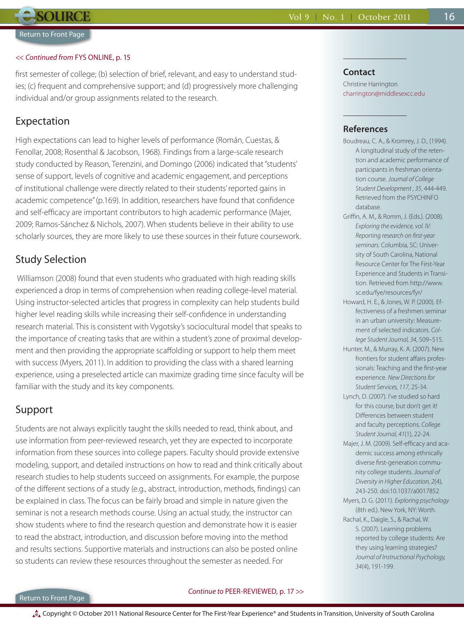<span id="page-15-0"></span>**SOURCE** 

#### << *Continued from* [FYS ONLINE, p. 15](#page-14-0)

first semester of college; (b) selection of brief, relevant, and easy to understand studies; (c) frequent and comprehensive support; and (d) progressively more challenging individual and/or group assignments related to the research.

## Expectation

High expectations can lead to higher levels of performance (Román, Cuestas, & Fenollar, 2008; Rosenthal & Jacobson, 1968). Findings from a large-scale research study conducted by Reason, Terenzini, and Domingo (2006) indicated that "students' sense of support, levels of cognitive and academic engagement, and perceptions of institutional challenge were directly related to their students' reported gains in academic competence" (p.169). In addition, researchers have found that confidence and self-efficacy are important contributors to high academic performance (Majer, 2009; Ramos-Sánchez & Nichols, 2007). When students believe in their ability to use scholarly sources, they are more likely to use these sources in their future coursework.

## Study Selection

 Williamson (2008) found that even students who graduated with high reading skills experienced a drop in terms of comprehension when reading college-level material. Using instructor-selected articles that progress in complexity can help students build higher level reading skills while increasing their self-confidence in understanding research material. This is consistent with Vygotsky's sociocultural model that speaks to the importance of creating tasks that are within a student's zone of proximal development and then providing the appropriate scaffolding or support to help them meet with success (Myers, 2011). In addition to providing the class with a shared learning experience, using a preselected article can maximize grading time since faculty will be familiar with the study and its key components.

## Support

Students are not always explicitly taught the skills needed to read, think about, and use information from peer-reviewed research, yet they are expected to incorporate information from these sources into college papers. Faculty should provide extensive modeling, support, and detailed instructions on how to read and think critically about research studies to help students succeed on assignments. For example, the purpose of the different sections of a study (e.g., abstract, introduction, methods, findings) can be explained in class. The focus can be fairly broad and simple in nature given the seminar is not a research methods course. Using an actual study, the instructor can show students where to find the research question and demonstrate how it is easier to read the abstract, introduction, and discussion before moving into the method and results sections. Supportive materials and instructions can also be posted online so students can review these resources throughout the semester as needed. For

## **Contact**

Christine Harrington charrington@middlesexcc.edu 16

## **References**

- Boudreau, C. A., & Kromrey, J. D., (1994). A longitudinal study of the retention and academic performance of participants in freshman orientation course. *Journal of College Student Development , 35*, 444-449. Retrieved from the PSYCHINFO database.
- Griffin, A. M., & Romm, J. (Eds.). (2008). *Exploring the evidence, vol. IV: Reporting research on first-year seminars.* Columbia, SC: University of South Carolina, National Resource Center for The First-Year Experience and Students in Transition. Retrieved from http://www. sc.edu/fye/resources/fyr/
- Howard, H. E., & Jones, W. P. (2000). Effectiveness of a freshmen seminar in an urban university: Measurement of selected indicators. *College Student Journal, 34*, 509–515.
- Hunter, M., & Murray, K. A. (2007). New frontiers for student affairs professionals: Teaching and the first-year experience. *New Directions for Student Services, 117*, 25-34.
- Lynch, D. (2007). I've studied so hard for this course, but don't get it! Differences between student and faculty perceptions. *College Student Journal, 41*(1), 22-24.
- Majer, J. M. (2009). Self-efficacy and academic success among ethnically diverse first-generation community college students. *Journal of Diversity in Higher Education, 2*(4), 243-250. doi:10.1037/a0017852
- Myers, D. G. (2011). *Exploring psychology* (8th ed.). New York, NY: Worth.
- Rachal, K., Daigle, S., & Rachal, W. S. (2007). Learning problems reported by college students: Are they using learning strategies? *Journal of Instructional Psychology, 34*(4), 191-199.

## [Return to Front Page](#page-0-0)

## *Continue to* [PEER-REVIEWED, p. 17 >>](#page-16-0)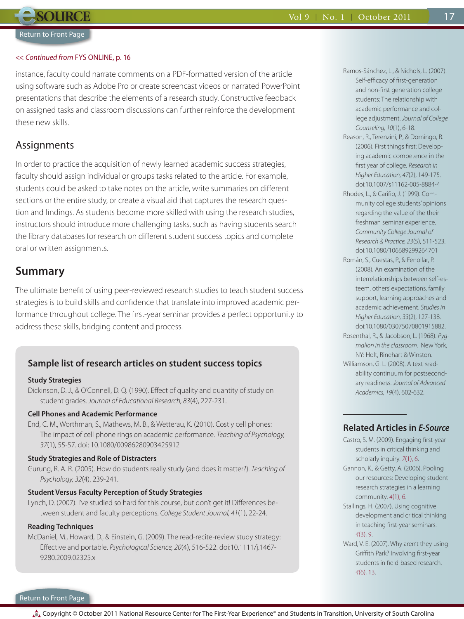### <span id="page-16-0"></span><< *Continued from* [FYS ONLINE, p. 16](#page-15-0)

instance, faculty could narrate comments on a PDF-formatted version of the article using software such as Adobe Pro or create screencast videos or narrated PowerPoint presentations that describe the elements of a research study. Constructive feedback on assigned tasks and classroom discussions can further reinforce the development these new skills.

## Assignments

In order to practice the acquisition of newly learned academic success strategies, faculty should assign individual or groups tasks related to the article. For example, students could be asked to take notes on the article, write summaries on different sections or the entire study, or create a visual aid that captures the research question and findings. As students become more skilled with using the research studies, instructors should introduce more challenging tasks, such as having students search the library databases for research on different student success topics and complete oral or written assignments.

## **Summary**

The ultimate benefit of using peer-reviewed research studies to teach student success strategies is to build skills and confidence that translate into improved academic performance throughout college. The first-year seminar provides a perfect opportunity to address these skills, bridging content and process.

## **Sample list of research articles on student success topics**

## **Study Strategies**

Dickinson, D. J., & O'Connell, D. Q. (1990). Effect of quality and quantity of study on student grades. *Journal of Educational Research, 83*(4), 227-231.

## **Cell Phones and Academic Performance**

End, C. M., Worthman, S., Mathews, M. B., & Wetterau, K. (2010). Costly cell phones: The impact of cell phone rings on academic performance. *Teaching of Psychology, 37*(1), 55-57. doi: 10.1080/00986280903425912

## **Study Strategies and Role of Distracters**

Gurung, R. A. R. (2005). How do students really study (and does it matter?). *Teaching of Psychology, 32*(4), 239-241.

#### **Student Versus Faculty Perception of Study Strategies**

Lynch, D. (2007). I've studied so hard for this course, but don't get it! Differences between student and faculty perceptions. *College Student Journal, 41*(1), 22-24.

#### **Reading Techniques**

McDaniel, M., Howard, D., & Einstein, G. (2009). The read-recite-review study strategy: Effective and portable. *Psychological Science, 20*(4), 516-522. doi:10.1111/j.1467- 9280.2009.02325.x

Ramos-Sánchez, L., & Nichols, L. (2007). Self-efficacy of first-generation and non-first generation college students: The relationship with academic performance and college adjustment. *Journal of College Counseling, 10*(1), 6-18.

17

- Reason, R., Terenzini, P., & Domingo, R. (2006). First things first: Developing academic competence in the first year of college. *Research in Higher Education, 47*(2), 149-175. doi:10.1007/s11162-005-8884-4
- Rhodes, L., & Carifio, J. (1999). Community college students' opinions regarding the value of the their freshman seminar experience. *Community College Journal of Research & Practice, 23*(5), 511-523. doi:10.1080/106689299264701
- Román, S., Cuestas, P., & Fenollar, P. (2008). An examination of the interrelationships between self-esteem, others' expectations, family support, learning approaches and academic achievement. *Studies in Higher Education, 33*(2), 127-138. doi:10.1080/03075070801915882.
- Rosenthal, R., & Jacobson, L. (1968). *Pygmalion in the classroom.* New York, NY: Holt, Rinehart & Winston.
- Williamson, G. L. (2008). A text readability continuum for postsecondary readiness. *Journal of Advanced Academics, 19*(4), 602-632.

## **Related Articles in** *E-Source*

- Castro, S. M. (2009). Engaging first-year students in critical thinking and scholarly inquiry. *7*[\(1\), 6.](http://u101tech.sa.sc.edu/NRC/esource/web/pdf/ES_7-1_Sep09.pdf)
- Gannon, K., & Getty, A. (2006). Pooling our resources: Developing student research strategies in a learning community. *4*[\(1\), 6.](http://u101tech.sa.sc.edu/NRC/esource/web/pdf/ES_4-1_Sep07.pdf)
- Stallings, H. (2007). Using cognitive development and critical thinking in teaching first-year seminars. *4*[\(3\), 9.](http://u101tech.sa.sc.edu/NRC/esource/web/pdf/ES_4-3_Jan07.pdf)
- Ward, V. E. (2007). Why aren't they using Griffith Park? Involving first-year students in field-based research. *4*[\(6\), 13.](http://u101tech.sa.sc.edu/NRC/esource/web/pdf/ES_4-6_Jul07.pdf)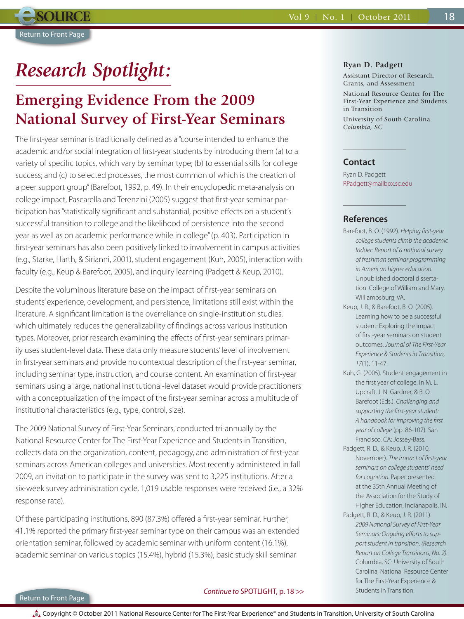# <span id="page-17-0"></span>*Research Spotlight:*

## **Emerging Evidence From the 2009 National Survey of First-Year Seminars**

The first-year seminar is traditionally defined as a "course intended to enhance the academic and/or social integration of first-year students by introducing them (a) to a variety of specific topics, which vary by seminar type; (b) to essential skills for college success; and (c) to selected processes, the most common of which is the creation of a peer support group" (Barefoot, 1992, p. 49). In their encyclopedic meta-analysis on college impact, Pascarella and Terenzini (2005) suggest that first-year seminar participation has "statistically significant and substantial, positive effects on a student's successful transition to college and the likelihood of persistence into the second year as well as on academic performance while in college" (p. 403). Participation in first-year seminars has also been positively linked to involvement in campus activities (e.g., Starke, Harth, & Sirianni, 2001), student engagement (Kuh, 2005), interaction with faculty (e.g., Keup & Barefoot, 2005), and inquiry learning (Padgett & Keup, 2010).

Despite the voluminous literature base on the impact of first-year seminars on students' experience, development, and persistence, limitations still exist within the literature. A significant limitation is the overreliance on single-institution studies, which ultimately reduces the generalizability of findings across various institution types. Moreover, prior research examining the effects of first-year seminars primarily uses student-level data. These data only measure students' level of involvement in first-year seminars and provide no contextual description of the first-year seminar, including seminar type, instruction, and course content. An examination of first-year seminars using a large, national institutional-level dataset would provide practitioners with a conceptualization of the impact of the first-year seminar across a multitude of institutional characteristics (e.g., type, control, size).

The 2009 National Survey of First-Year Seminars, conducted tri-annually by the National Resource Center for The First-Year Experience and Students in Transition, collects data on the organization, content, pedagogy, and administration of first-year seminars across American colleges and universities. Most recently administered in fall 2009, an invitation to participate in the survey was sent to 3,225 institutions. After a six-week survey administration cycle, 1,019 usable responses were received (i.e., a 32% response rate).

Of these participating institutions, 890 (87.3%) offered a first-year seminar. Further, 41.1% reported the primary first-year seminar type on their campus was an extended orientation seminar, followed by academic seminar with uniform content (16.1%), academic seminar on various topics (15.4%), hybrid (15.3%), basic study skill seminar

#### **Ryan D. Padgett**

Assistant Director of Research, Grants, and Assessment

National Resource Center for The First-Year Experience and Students in Transition

University of South Carolina *Columbia, SC*

## **Contact**

Ryan D. Padgett RPadgett@mailbox.sc.edu

## **References**

- Barefoot, B. O. (1992). *Helping first-year college students climb the academic ladder: Report of a national survey of freshman seminar programming in American higher education.* Unpublished doctoral dissertation. College of William and Mary. Williambsburg, VA.
- Keup, J. R., & Barefoot, B. O. (2005). Learning how to be a successful student: Exploring the impact of first-year seminars on student outcomes. *Journal of The First-Year Experience & Students in Transition, 17*(1), 11-47.
- Kuh, G. (2005). Student engagement in the first year of college. In M. L. Upcraft, J. N. Gardner, & B. O. Barefoot (Eds.), *Challenging and supporting the first-year student: A handbook for improving the first year of college* (pp. 86-107). San Francisco, CA: Jossey-Bass.
- Padgett, R. D., & Keup, J. R. (2010, November). *The impact of first-year seminars on college students' need for cognition.* Paper presented at the 35th Annual Meeting of the Association for the Study of Higher Education, Indianapolis, IN.
- Padgett, R. D., & Keup, J. R. (2011). *2009 National Survey of First-Year Seminars: Ongoing efforts to support student in transition. (Research Report on College Transitions, No. 2).* Columbia, SC: University of South Carolina, National Resource Center for The First-Year Experience & Students in Transition.

## [Return to Front Page](#page-0-0)

## *Continue to* [SPOTLIGHT, p. 18 >>](#page-18-0)